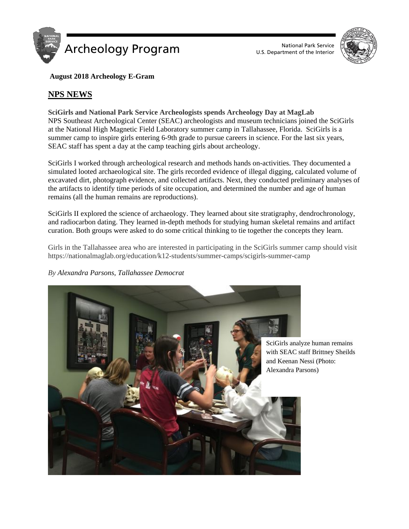

U.S. Department of the Interior



**August 2018 Archeology E-Gram**

# **NPS NEWS**

**SciGirls and National Park Service Archeologists spends Archeology Day at MagLab** NPS Southeast Archeological Center (SEAC) archeologists and museum technicians joined the SciGirls at the National High Magnetic Field Laboratory summer camp in Tallahassee, Florida. SciGirls is a summer camp to inspire girls entering 6-9th grade to pursue careers in science. For the last six years, SEAC staff has spent a day at the camp teaching girls about archeology.

SciGirls I worked through archeological research and methods hands on-activities. They documented a simulated looted archaeological site. The girls recorded evidence of illegal digging, calculated volume of excavated dirt, photograph evidence, and collected artifacts. Next, they conducted preliminary analyses of the artifacts to identify time periods of site occupation, and determined the number and age of human remains (all the human remains are reproductions).

SciGirls II explored the science of archaeology. They learned about site stratigraphy, dendrochronology, and radiocarbon dating. They learned in-depth methods for studying human skeletal remains and artifact curation. Both groups were asked to do some critical thinking to tie together the concepts they learn.

Girls in the Tallahassee area who are interested in participating in the SciGirls summer camp should visit https://nationalmaglab.org/education/k12-students/summer-camps/scigirls-summer-camp

*By Alexandra Parsons, Tallahassee Democrat*



SciGirls analyze human remains with SEAC staff Brittney Sheilds and Keenan Nessi (Photo: Alexandra Parsons)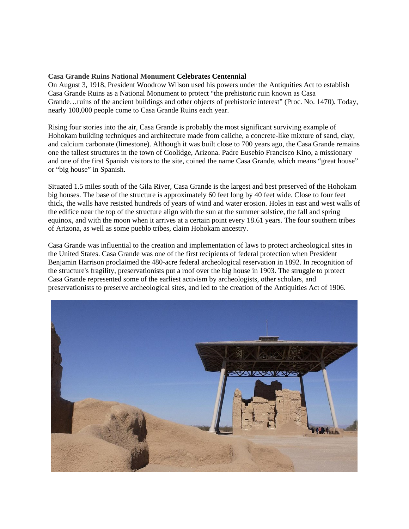## **[Casa Grande Ruins National Monument](https://www.nps.gov/cagr/) Celebrates Centennial**

On August 3, 1918, President Woodrow Wilson used his powers under the Antiquities Act to establish Casa Grande Ruins as a National Monument to protect "the prehistoric ruin known as Casa Grande…ruins of the ancient buildings and other objects of prehistoric interest" (Proc. No. 1470). Today, nearly 100,000 people come to Casa Grande Ruins each year.

Rising four stories into the air, Casa Grande is probably the most significant surviving example of Hohokam building techniques and architecture made from caliche, a concrete-like mixture of sand, clay, and calcium carbonate (limestone). Although it was built close to 700 years ago, the Casa Grande remains one the tallest structures in the town of Coolidge, Arizona. Padre Eusebio Francisco Kino, a missionary and one of the first Spanish visitors to the site, coined the name Casa Grande, which means "great house" or "big house" in Spanish.

Situated 1.5 miles south of the Gila River, Casa Grande is the largest and best preserved of the Hohokam big houses. The base of the structure is approximately 60 feet long by 40 feet wide. Close to four feet thick, the walls have resisted hundreds of years of wind and water erosion. Holes in east and west walls of the edifice near the top of the structure align with the sun at the summer solstice, the fall and spring equinox, and with the moon when it arrives at a certain point every 18.61 years. The four southern tribes of Arizona, as well as some pueblo tribes, claim Hohokam ancestry.

Casa Grande was influential to the creation and implementation of laws to protect archeological sites in the United States. Casa Grande was one of the first recipients of federal protection when President Benjamin Harrison proclaimed the 480-acre federal archeological reservation in 1892. In recognition of the structure's fragility, preservationists put a roof over the big house in 1903. The struggle to protect Casa Grande represented some of the earliest activism by archeologists, other scholars, and preservationists to preserve archeological sites, and led to the creation of the Antiquities Act of 1906.

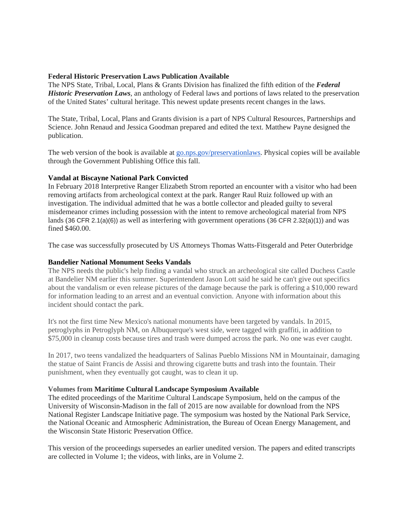### **Federal Historic Preservation Laws Publication Available**

The NPS State, Tribal, Local, Plans & Grants Division has finalized the fifth edition of the *Federal Historic Preservation Laws*, an anthology of Federal laws and portions of laws related to the preservation of the United States' cultural heritage. This newest update presents recent changes in the laws.

The State, Tribal, Local, Plans and Grants division is a part of NPS Cultural Resources, Partnerships and Science. John Renaud and Jessica Goodman prepared and edited the text. Matthew Payne designed the publication.

The web version of the book is available at [go.nps.gov/preservationlaws.](http://go.nps.gov/preservationlaws) Physical copies will be available through the Government Publishing Office this fall.

### **Vandal at Biscayne National Park Convicted**

In February 2018 Interpretive Ranger Elizabeth Strom reported an encounter with a visitor who had been removing artifacts from archeological context at the park. Ranger Raul Ruiz followed up with an investigation. The individual admitted that he was a bottle collector and pleaded guilty to several misdemeanor crimes including possession with the intent to remove archeological material from NPS lands (36 CFR 2.1(a)(6)) as well as interfering with government operations (36 CFR 2.32(a)(1)) and was fined \$460.00.

The case was successfully prosecuted by US Attorneys Thomas Watts-Fitsgerald and Peter Outerbridge

## **Bandelier National Monument Seeks Vandals**

The NPS needs the public's help finding a vandal who struck an archeological site called Duchess Castle at Bandelier NM earlier this summer. Superintendent Jason Lott said he said he can't give out specifics about the vandalism or even release pictures of the damage because the park is offering a \$10,000 reward for information leading to an arrest and an eventual conviction. Anyone with information about this incident should contact the park.

It's not the first time New Mexico's national monuments have been targeted by vandals. In 2015, petroglyphs in Petroglyph NM, on Albuquerque's west side, were tagged with graffiti, in addition to \$75,000 in cleanup costs because tires and trash were dumped across the park. No one was ever caught.

In 2017, two teens vandalized the headquarters of Salinas Pueblo Missions NM in Mountainair, damaging the statue of Saint Francis de Assisi and throwing cigarette butts and trash into the fountain. Their punishment, when they eventually got caught, was to clean it up.

#### **Volumes from Maritime Cultural Landscape Symposium Available**

The edited proceedings of the Maritime Cultural Landscape Symposium, held on the campus of the University of Wisconsin-Madison in the fall of 2015 are now available for download from the NPS National Register Landscape Initiative page. The symposium was hosted by the National Park Service, the National Oceanic and Atmospheric Administration, the Bureau of Ocean Energy Management, and the Wisconsin State Historic Preservation Office.

This version of the proceedings supersedes an earlier unedited version. The papers and edited transcripts are collected in Volume 1; the videos, with links, are in Volume 2.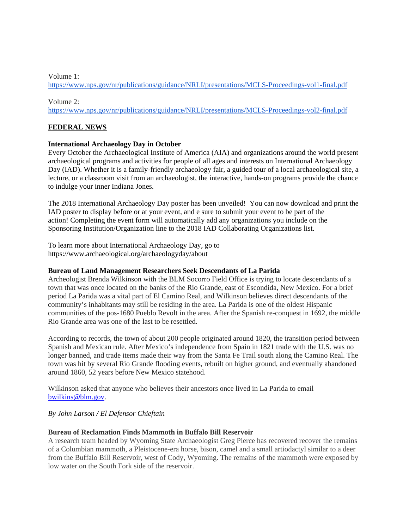## Volume 1:

<https://www.nps.gov/nr/publications/guidance/NRLI/presentations/MCLS-Proceedings-vol1-final.pdf>

#### Volume 2:

<https://www.nps.gov/nr/publications/guidance/NRLI/presentations/MCLS-Proceedings-vol2-final.pdf>

# **FEDERAL NEWS**

# **International Archaeology Day in October**

Every October the Archaeological Institute of America (AIA) and organizations around the world present archaeological programs and activities for people of all ages and interests on International Archaeology Day (IAD). Whether it is a family-friendly archaeology fair, a guided tour of a local archaeological site, a lecture, or a classroom visit from an archaeologist, the interactive, hands-on programs provide the chance to indulge your inner Indiana Jones.

The 2018 International Archaeology Day poster has been unveiled! You can now download and print the IAD poster to display before or at your event, and e sure to submit your event to be part of the action! Completing the event form will automatically add any organizations you include on the Sponsoring Institution/Organization line to the 2018 IAD Collaborating Organizations list.

To learn more about International Archaeology Day, go to https://www.archaeological.org/archaeologyday/about

# **Bureau of Land Management Researchers Seek Descendants of La Parida**

Archeologist Brenda Wilkinson with the BLM Socorro Field Office is trying to locate descendants of a town that was once located on the banks of the Rio Grande, east of Escondida, New Mexico. For a brief period La Parida was a vital part of El Camino Real, and Wilkinson believes direct descendants of the community's inhabitants may still be residing in the area. La Parida is one of the oldest Hispanic communities of the pos-1680 Pueblo Revolt in the area. After the Spanish re-conquest in 1692, the middle Rio Grande area was one of the last to be resettled.

According to records, the town of about 200 people originated around 1820, the transition period between Spanish and Mexican rule. After Mexico's independence from Spain in 1821 trade with the U.S. was no longer banned, and trade items made their way from the Santa Fe Trail south along the Camino Real. The town was hit by several Rio Grande flooding events, rebuilt on higher ground, and eventually abandoned around 1860, 52 years before New Mexico statehood.

Wilkinson asked that anyone who believes their ancestors once lived in La Parida to email [bwilkins@blm.gov.](mailto:bwilkins@blm.gov)

# *By John Larson / El Defensor Chieftain*

# **Bureau of Reclamation Finds Mammoth in Buffalo Bill Reservoir**

A research team headed by Wyoming State Archaeologist Greg Pierce has recovered recover the remains of a Columbian mammoth, a Pleistocene-era horse, bison, camel and a small artiodactyl similar to a deer from the Buffalo Bill Reservoir, west of Cody, Wyoming. The remains of the mammoth were exposed by low water on the South Fork side of the reservoir.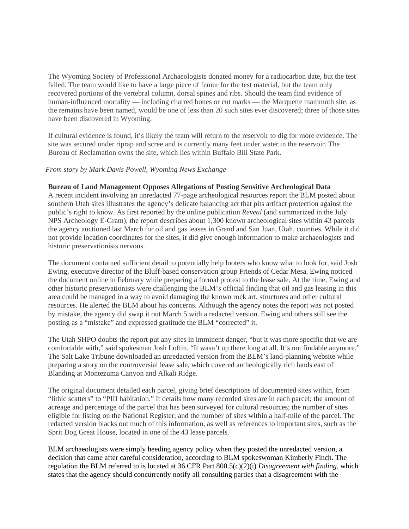The Wyoming Society of Professional Archaeologists donated money for a radiocarbon date, but the test failed. The team would like to have a large piece of femur for the test material, but the team only recovered portions of the vertebral column, dorsal spines and ribs. Should the team find evidence of human-influenced mortality — including charred bones or cut marks — the Marquette mammoth site, as the remains have been named, would be one of less than 20 such sites ever discovered; three of those sites have been discovered in Wyoming.

If cultural evidence is found, it's likely the team will return to the reservoir to dig for more evidence. The site was secured under riprap and scree and is currently many feet under water in the reservoir. The Bureau of Reclamation owns the site, which lies within Buffalo Bill State Park.

### *From story by Mark Davis Powell, Wyoming News Exchange*

#### **Bureau of Land Management Opposes Allegations of Posting Sensitive Archeological Data**

A recent incident involving an unredacted 77-page archeological resources report the BLM posted about southern Utah sites illustrates the agency's delicate balancing act that pits artifact protection against the public's right to know. As first reported by the online publication *Reveal* (and summarized in the July NPS Archeology E-Gram), the report describes about 1,300 known archeological sites within 43 parcels the agency auctioned last March for oil and gas leases in Grand and San Juan, Utah, counties. While it did not provide location coordinates for the sites, it did give enough information to make archaeologists and historic preservationists nervous.

The document contained sufficient detail to potentially help looters who know what to look for, said Josh Ewing, executive director of the Bluff-based conservation group Friends of Cedar Mesa. Ewing noticed the document online in February while preparing a formal protest to the lease sale. At the time, Ewing and other historic preservationists were challenging the BLM's official finding that oil and gas leasing in this area could be managed in a way to avoid damaging the known rock art, structures and other cultural resources. He alerted the BLM about his concerns. Although the agency notes the report was not posted by mistake, the agency did swap it out March 5 with a redacted version. Ewing and others still see the posting as a "mistake" and expressed gratitude the BLM "corrected" it.

The Utah SHPO doubts the report put any sites in imminent danger, "but it was more specific that we are comfortable with," said spokesman Josh Loftin. "It wasn't up there long at all. It's not findable anymore." The Salt Lake Tribune downloaded an unredacted version from the BLM's land-planning website while preparing a story on the controversial lease sale, which covered archeologically rich lands east of Blanding at Montezuma Canyon and Alkali Ridge.

The original document detailed each parcel, giving brief descriptions of documented sites within, from "lithic scatters" to "PIII habitation." It details how many recorded sites are in each parcel; the amount of acreage and percentage of the parcel that has been surveyed for cultural resources; the number of sites eligible for listing on the National Register; and the number of sites within a half-mile of the parcel. The redacted version blacks out much of this information, as well as references to important sites, such as the Sprit Dog Great House, located in one of the 43 lease parcels.

BLM archaeologists were simply heeding agency policy when they posted the unredacted version, a decision that came after careful consideration, according to BLM spokeswoman Kimberly Finch. The regulation the BLM referred to is located at 36 CFR Part 800.5(c)(2)(i) *Disagreement with finding,* which states that the agency should concurrently notify all consulting parties that a disagreement with the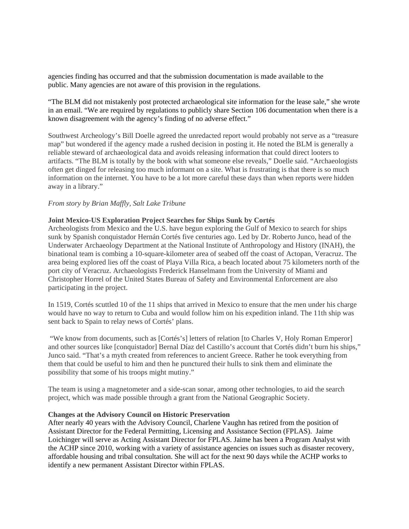agencies finding has occurred and that the submission documentation is made available to the public. Many agencies are not aware of this provision in the regulations.

"The BLM did not mistakenly post protected archaeological site information for the lease sale," she wrote in an email. "We are required by regulations to publicly share Section 106 documentation when there is a known disagreement with the agency's finding of no adverse effect."

Southwest Archeology's Bill Doelle agreed the unredacted report would probably not serve as a "treasure map" but wondered if the agency made a rushed decision in posting it. He noted the BLM is generally a reliable steward of archaeological data and avoids releasing information that could direct looters to artifacts. "The BLM is totally by the book with what someone else reveals," Doelle said. "Archaeologists often get dinged for releasing too much informant on a site. What is frustrating is that there is so much information on the internet. You have to be a lot more careful these days than when reports were hidden away in a library."

### *From story by Brian Maffly, Salt Lake Tribune*

### **Joint Mexico-US Exploration Project Searches for Ships Sunk by Cortés**

Archeologists from Mexico and the U.S. have begun exploring the Gulf of Mexico to search for ships sunk by Spanish conquistador Hernán Cortés five centuries ago. Led by Dr. Roberto Junco, head of the Underwater Archaeology Department at the National Institute of Anthropology and History (INAH), the binational team is combing a 10-square-kilometer area of seabed off the coast of Actopan, Veracruz. The area being explored lies off the coast of Playa Villa Rica, a beach located about 75 kilometers north of the port city of Veracruz. Archaeologists Frederick Hanselmann from the University of Miami and Christopher Horrel of the United States Bureau of Safety and Environmental Enforcement are also participating in the project.

In 1519, Cortés scuttled 10 of the 11 ships that arrived in Mexico to ensure that the men under his charge would have no way to return to Cuba and would follow him on his expedition inland. The 11th ship was sent back to Spain to relay news of Cortés' plans.

"We know from documents, such as [Cortés's] letters of relation [to Charles V, Holy Roman Emperor] and other sources like [conquistador] Bernal Díaz del Castillo's account that Cortés didn't burn his ships," Junco said. "That's a myth created from references to ancient Greece. Rather he took everything from them that could be useful to him and then he punctured their hulls to sink them and eliminate the possibility that some of his troops might mutiny."

The team is using a magnetometer and a side-scan sonar, among other technologies, to aid the search project, which was made possible through a grant from the National Geographic Society.

#### **Changes at the Advisory Council on Historic Preservation**

After nearly 40 years with the Advisory Council, Charlene Vaughn has retired from the position of Assistant Director for the Federal Permitting, Licensing and Assistance Section (FPLAS). Jaime Loichinger will serve as Acting Assistant Director for FPLAS. Jaime has been a Program Analyst with the ACHP since 2010, working with a variety of assistance agencies on issues such as disaster recovery, affordable housing and tribal consultation. She will act for the next 90 days while the ACHP works to identify a new permanent Assistant Director within FPLAS.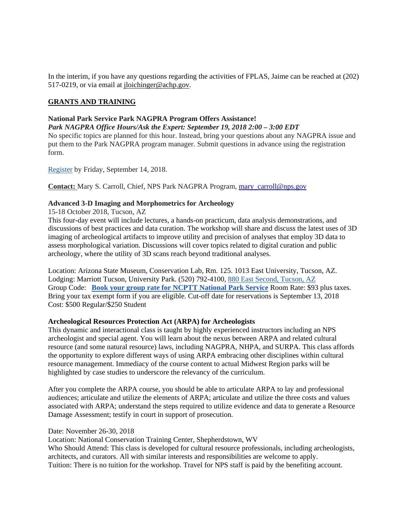In the interim, if you have any questions regarding the activities of FPLAS, Jaime can be reached at (202) 517-0219, or via email at [jloichinger@achp.gov.](mailto:jloichinger@achp.gov)

## **GRANTS AND TRAINING**

#### **National Park Service Park NAGPRA Program Offers Assistance!**

*Park NAGPRA Office Hours/Ask the Expert: September 19, 2018 2:00 – 3:00 EDT* No specific topics are planned for this hour. Instead, bring your questions about any NAGPRA issue and put them to the Park NAGPRA program manager. Submit questions in advance using the registration form.

[Register](https://docs.google.com/forms/d/e/1FAIpQLSd1Vi-eHVMts5BN4DF58ZGnaUmp2WQ7BhyjxE6pScO7gAPteg/viewform?c=0&w=1) by Friday, September 14, 2018.

**Contact:** Mary S. Carroll, Chief, NPS Park NAGPRA Program, [mary\\_carroll@nps.gov](mailto:mary_carroll@nps.gov)

# **Advanced 3-D Imaging and Morphometrics for Archeology**

15-18 October 2018, Tucson, AZ

This four-day event will include lectures, a hands-on practicum, data analysis demonstrations, and discussions of best practices and data curation. The workshop will share and discuss the latest uses of 3D imaging of archeological artifacts to improve utility and precision of analyses that employ 3D data to assess morphological variation. Discussions will cover topics related to digital curation and public archeology, where the utility of 3D scans reach beyond traditional analyses.

Location: Arizona State Museum, Conservation Lab, Rm. 125. 1013 East University, Tucson, AZ. Lodging: Marriott Tucson, University Park. (520) 792-4100, [880 East Second, Tucson, AZ](https://maps.google.com/?q=880+East+Second,+Tucson,+AZ&entry=gmail&source=g) Group Code: **[Book your group rate for NCPTT National Park Service](http://r20.rs6.net/tn.jsp?f=0012r8ZbUwkfhVwGgkGEqofpcga75_tdmP78ajJhC9qwamCQuroD95zKBL1BfhWGQ14Y0z5r3cDt2odS8vOa40oEupKp5heMEE7IY-oR_Sh209vA70ko0D4oB1930E3v7cGVs-J0ngiZfgtiZBV6flAUHb_oOU5Qg5_JK67gLAXPXtbxBqp6ZQ7skL0sTBkgYL1bK8hmon37fJY3JK4F_uiPD53ua-28baC4yRUXGQ2N7tzrpquMbEhpT2CWELSfCrDgTGnPPR0X8eRjLh-YS-eBSwFwqJzNSalUNSIk0A-IJxkK2MReoeGuw4oDybUKDgzokvDE2Tvi7My3Wr4dzuXqnoQGCTAaqfUIS-yHSwl0DRoIJQu1Gw-jaYs-NnhJBg7DyyQ3oaRbAm9r8sRnxt8T138sJywPJHDgL3YrHo3NcrOuVi62Z5E21LgEwoA8QQNksJ4VUYsaW-z0BM9L3edO0ToOxZH6SfyMJo2qkhxbKWOzb9FzEWvjXUz6WoWs2BO9hqQtFRWUwdaBEAyG8f2b3bFnKri1Sy4&c=OI8V_IQZ5j7lAn5QfpD--DH3ZxiIDpFaWLAZEmxq0gfDu4EJiQfMDA==&ch=evZf-51BlqhDhE1EvHVFxQp3cCekIzT55KWdObIRMLVsbPf6ESmf9g==)** Room Rate: \$93 plus taxes. Bring your tax exempt form if you are eligible. Cut-off date for reservations is September 13, 2018 Cost: \$500 Regular/\$250 Student

#### **Archeological Resources Protection Act (ARPA) for Archeologists**

This dynamic and interactional class is taught by highly experienced instructors including an NPS archeologist and special agent. You will learn about the nexus between ARPA and related cultural resource (and some natural resource) laws, including NAGPRA, NHPA, and SURPA. This class affords the opportunity to explore different ways of using ARPA embracing other disciplines within cultural resource management. Immediacy of the course content to actual Midwest Region parks will be highlighted by case studies to underscore the relevancy of the curriculum.

After you complete the ARPA course, you should be able to articulate ARPA to lay and professional audiences; articulate and utilize the elements of ARPA; articulate and utilize the three costs and values associated with ARPA; understand the steps required to utilize evidence and data to generate a Resource Damage Assessment; testify in court in support of prosecution.

#### Date: November 26-30, 2018

Location: National Conservation Training Center, Shepherdstown, WV

Who Should Attend: This class is developed for cultural resource professionals, including archeologists, architects, and curators. All with similar interests and responsibilities are welcome to apply. Tuition: There is no tuition for the workshop. Travel for NPS staff is paid by the benefiting account.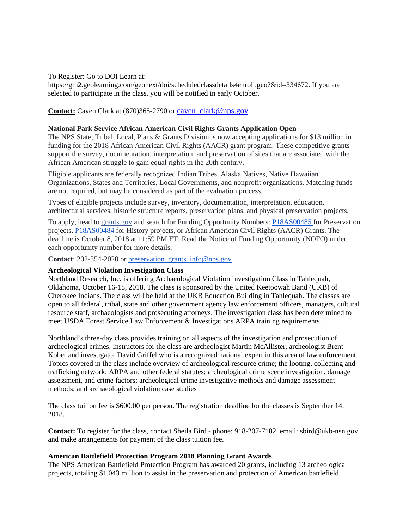### To Register: Go to DOI Learn at:

https://gm2.geolearning.com/geonext/doi/scheduledclassdetails4enroll.geo?&id=334672. If you are selected to participate in the class, you will be notified in early October.

# **Contact:** Caven Clark at (870)365-2790 or caven clark@nps.gov

### **National Park Service African American Civil Rights Grants Application Open**

The NPS State, Tribal, Local, Plans & Grants Division is now accepting applications for \$13 million in funding for the 2018 African American Civil Rights (AACR) grant program. These competitive grants support the survey, documentation, interpretation, and preservation of sites that are associated with the African American struggle to gain equal rights in the 20th century.

Eligible applicants are federally recognized Indian Tribes, Alaska Natives, Native Hawaiian Organizations, States and Territories, Local Governments, and nonprofit organizations. Matching funds are not required, but may be considered as part of the evaluation process.

Types of eligible projects include survey, inventory, documentation, interpretation, education, architectural services, historic structure reports, preservation plans, and physical preservation projects.

To apply, head to [grants.gov](https://l.facebook.com/l.php?u=http%3A%2F%2Fgrants.gov%2F&h=AT0e7iF5H9XaYgCSW2Z-fEyJ4b3dx7vIqC-DQLSoFJyGXux1KM1CgEX2ppGjciQG4LgLthbgyzwEOZiaX5-RpzwAHjf5mpOdeEqC2a4I4b7i0W_xszKrwH95OrJXVrjn_VTUKpvVRsChlE2tDAf0-Wn0FON9VeInYRFi0YJm) and search for Funding Opportunity Numbers: [P18AS00485](https://www.grants.gov/web/grants/view-opportunity.html?oppId=308042) for Preservation projects, [P18AS00484](https://www.grants.gov/web/grants/view-opportunity.html?oppId=308041) for History projects, or African American Civil Rights (AACR) Grants. The deadline is October 8, 2018 at 11:59 PM ET. Read the Notice of Funding Opportunity (NOFO) under each opportunity number for more details.

**Contact**: 202-354-2020 or [preservation\\_grants\\_info@nps.gov](mailto:preservation_grants_info@nps.gov)

# **Archeological Violation Investigation Class**

Northland Research, Inc. is offering Archaeological Violation Investigation Class in Tahlequah, Oklahoma, October 16-18, 2018. The class is sponsored by the United Keetoowah Band (UKB) of Cherokee Indians. The class will be held at the UKB Education Building in Tahlequah. The classes are open to all federal, tribal, state and other government agency law enforcement officers, managers, cultural resource staff, archaeologists and prosecuting attorneys. The investigation class has been determined to meet USDA Forest Service Law Enforcement & Investigations ARPA training requirements.

Northland's three-day class provides training on all aspects of the investigation and prosecution of archeological crimes. Instructors for the class are archeologist Martin McAllister, archeologist Brent Kober and investigator David Griffel who is a recognized national expert in this area of law enforcement. Topics covered in the class include overview of archeological resource crime; the looting, collecting and trafficking network; ARPA and other federal statutes; archeological crime scene investigation, damage assessment, and crime factors; archeological crime investigative methods and damage assessment methods; and archaeological violation case studies

The class tuition fee is \$600.00 per person. The registration deadline for the classes is September 14, 2018.

**Contact:** To register for the class, contact Sheila Bird - phone: 918-207-7182, email: sbird@ukb-nsn.gov and make arrangements for payment of the class tuition fee.

#### **American Battlefield Protection Program 2018 Planning Grant Awards**

The NPS American Battlefield Protection Program has awarded 20 grants, including 13 archeological projects, totaling \$1.043 million to assist in the preservation and protection of American battlefield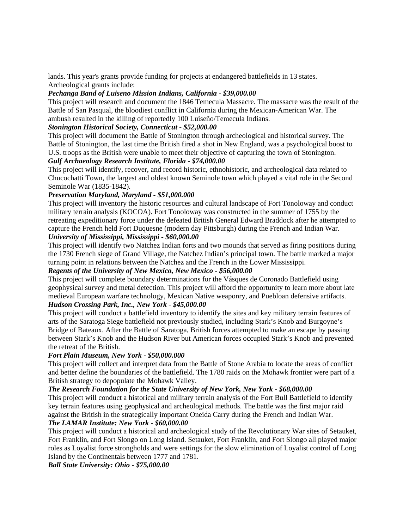lands. This year's grants provide funding for projects at endangered battlefields in 13 states. Archeological grants include:

# *Pechanga Band of Luiseno Mission Indians, California - \$39,000.00*

This project will research and document the 1846 Temecula Massacre. The massacre was the result of the Battle of San Pasqual, the bloodiest conflict in California during the Mexican-American War. The ambush resulted in the killing of reportedly 100 Luiseño/Temecula Indians.

# *Stonington Historical Society, Connecticut - \$52,000.00*

This project will document the Battle of Stonington through archeological and historical survey. The Battle of Stonington, the last time the British fired a shot in New England, was a psychological boost to U.S. troops as the British were unable to meet their objective of capturing the town of Stonington.

# *Gulf Archaeology Research Institute, Florida - \$74,000.00*

This project will identify, recover, and record historic, ethnohistoric, and archeological data related to Chucochatti Town, the largest and oldest known Seminole town which played a vital role in the Second Seminole War (1835-1842).

# *Preservation Maryland, Maryland - \$51,000.000*

This project will inventory the historic resources and cultural landscape of Fort Tonoloway and conduct military terrain analysis (KOCOA). Fort Tonoloway was constructed in the summer of 1755 by the retreating expeditionary force under the defeated British General Edward Braddock after he attempted to capture the French held Fort Duquesne (modern day Pittsburgh) during the French and Indian War. *University of Mississippi, Mississippi - \$60,000.00*

This project will identify two Natchez Indian forts and two mounds that served as firing positions during the 1730 French siege of Grand Village, the Natchez Indian's principal town. The battle marked a major turning point in relations between the Natchez and the French in the Lower Mississippi.

# *Regents of the University of New Mexico, New Mexico - \$56,000.00*

This project will complete boundary determinations for the Vásques de Coronado Battlefield using geophysical survey and metal detection. This project will afford the opportunity to learn more about late medieval European warfare technology, Mexican Native weaponry, and Puebloan defensive artifacts. *Hudson Crossing Park, Inc., New York - \$45,000.00*

This project will conduct a battlefield inventory to identify the sites and key military terrain features of arts of the Saratoga Siege battlefield not previously studied, including Stark's Knob and Burgoyne's Bridge of Bateaux. After the Battle of Saratoga, British forces attempted to make an escape by passing between Stark's Knob and the Hudson River but American forces occupied Stark's Knob and prevented the retreat of the British.

# *Fort Plain Museum, New York - \$50,000.000*

This project will collect and interpret data from the Battle of Stone Arabia to locate the areas of conflict and better define the boundaries of the battlefield. The 1780 raids on the Mohawk frontier were part of a British strategy to depopulate the Mohawk Valley.

# *The Research Foundation for the State University of New York, New York - \$68,000.00*

This project will conduct a historical and military terrain analysis of the Fort Bull Battlefield to identify key terrain features using geophysical and archeological methods. The battle was the first major raid against the British in the strategically important Oneida Carry during the French and Indian War.

# *The LAMAR Institute: New York - \$60,000.00*

This project will conduct a historical and archeological study of the Revolutionary War sites of Setauket, Fort Franklin, and Fort Slongo on Long Island. Setauket, Fort Franklin, and Fort Slongo all played major roles as Loyalist force strongholds and were settings for the slow elimination of Loyalist control of Long Island by the Continentals between 1777 and 1781.

*Ball State University: Ohio - \$75,000.00*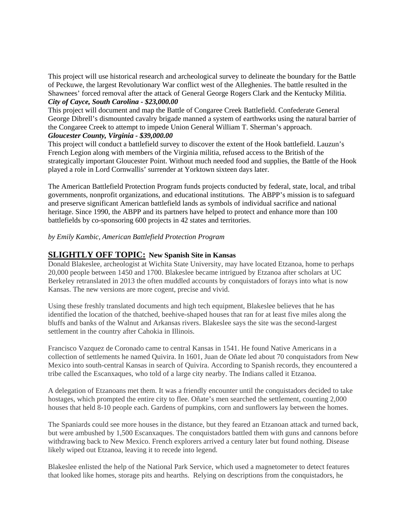This project will use historical research and archeological survey to delineate the boundary for the Battle of Peckuwe, the largest Revolutionary War conflict west of the Alleghenies. The battle resulted in the Shawnees' forced removal after the attack of General George Rogers Clark and the Kentucky Militia. *City of Cayce, South Carolina - \$23,000.00*

This project will document and map the Battle of Congaree Creek Battlefield. Confederate General George Dibrell's dismounted cavalry brigade manned a system of earthworks using the natural barrier of the Congaree Creek to attempt to impede Union General William T. Sherman's approach.

# *Gloucester County, Virginia - \$39,000.00*

This project will conduct a battlefield survey to discover the extent of the Hook battlefield. Lauzun's French Legion along with members of the Virginia militia, refused access to the British of the strategically important Gloucester Point. Without much needed food and supplies, the Battle of the Hook played a role in Lord Cornwallis' surrender at Yorktown sixteen days later.

The American Battlefield Protection Program funds projects conducted by federal, state, local, and tribal governments, nonprofit organizations, and educational institutions. The ABPP's mission is to safeguard and preserve significant American battlefield lands as symbols of individual sacrifice and national heritage. Since 1990, the ABPP and its partners have helped to protect and enhance more than 100 battlefields by co-sponsoring 600 projects in 42 states and territories.

# *by Emily Kambic, American Battlefield Protection Program*

# **SLIGHTLY OFF TOPIC: New Spanish Site in Kansas**

Donald Blakeslee, archeologist at Wichita State University, may have located Etzanoa, home to perhaps 20,000 people between 1450 and 1700. Blakeslee became intrigued by Etzanoa after scholars at UC Berkeley retranslated in 2013 the often muddled accounts by conquistadors of forays into what is now Kansas. The new versions are more cogent, precise and vivid.

Using these freshly translated documents and high tech equipment, Blakeslee believes that he has identified the location of the thatched, beehive-shaped houses that ran for at least five miles along the bluffs and banks of the Walnut and Arkansas rivers. Blakeslee says the site was the second-largest settlement in the country after Cahokia in Illinois.

Francisco Vazquez de Coronado came to central Kansas in 1541. He found Native Americans in a collection of settlements he named Quivira. In 1601, Juan de Oñate led about 70 conquistadors from New Mexico into south-central Kansas in search of Quivira. According to Spanish records, they encountered a tribe called the Escanxaques, who told of a large city nearby. The Indians called it Etzanoa.

A delegation of Etzanoans met them. It was a friendly encounter until the conquistadors decided to take hostages, which prompted the entire city to flee. Oñate's men searched the settlement, counting 2,000 houses that held 8-10 people each. Gardens of pumpkins, corn and sunflowers lay between the homes.

The Spaniards could see more houses in the distance, but they feared an Etzanoan attack and turned back, but were ambushed by 1,500 Escanxaques. The conquistadors battled them with guns and cannons before withdrawing back to New Mexico. French explorers arrived a century later but found nothing. Disease likely wiped out Etzanoa, leaving it to recede into legend.

Blakeslee enlisted the help of the National Park Service, which used a magnetometer to detect features that looked like homes, storage pits and hearths. Relying on descriptions from the conquistadors, he